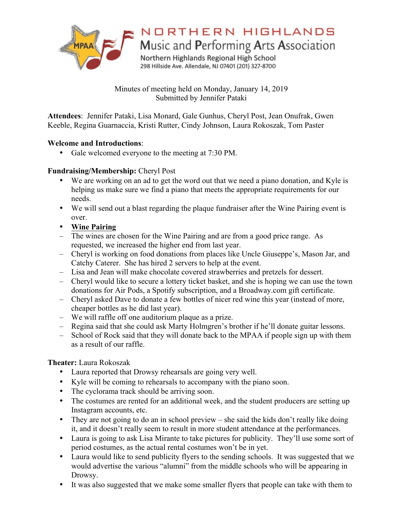

NORTHERN HIGHLANDS

Music and Performing Arts Association

Northern Highlands Regional High School 298 Hillside Ave. Allendale, NJ 07401 (201) 327-8700

Minutes of meeting held on Monday, January 14, 2019 Submitted by Jennifer Pataki

**Attendees**: Jennifer Pataki, Lisa Monard, Gale Gunhus, Cheryl Post, Jean Onufrak, Gwen Keeble, Regina Guarnaccia, Kristi Rutter, Cindy Johnson, Laura Rokoszak, Tom Paster

## **Welcome and Introductions**:

• Gale welcomed everyone to the meeting at 7:30 PM.

# **Fundraising/Membership:** Cheryl Post

- We are working on an ad to get the word out that we need a piano donation, and Kyle is helping us make sure we find a piano that meets the appropriate requirements for our needs.
- We will send out a blast regarding the plaque fundraiser after the Wine Pairing event is over.
- **Wine Pairing**
- The wines are chosen for the Wine Pairing and are from a good price range. As requested, we increased the higher end from last year.
- Cheryl is working on food donations from places like Uncle Giuseppe's, Mason Jar, and Catchy Caterer. She has hired 2 servers to help at the event.
- Lisa and Jean will make chocolate covered strawberries and pretzels for dessert.
- Cheryl would like to secure a lottery ticket basket, and she is hoping we can use the town donations for Air Pods, a Spotify subscription, and a Broadway.com gift certificate.
- Cheryl asked Dave to donate a few bottles of nicer red wine this year (instead of more, cheaper bottles as he did last year).
- We will raffle off one auditorium plaque as a prize.
- Regina said that she could ask Marty Holmgren's brother if he'll donate guitar lessons.
- School of Rock said that they will donate back to the MPAA if people sign up with them as a result of our raffle.

## **Theater:** Laura Rokoszak

- Laura reported that Drowsy rehearsals are going very well.
- Kyle will be coming to rehearsals to accompany with the piano soon.
- The cyclorama track should be arriving soon.
- The costumes are rented for an additional week, and the student producers are setting up Instagram accounts, etc.
- They are not going to do an in school preview she said the kids don't really like doing it, and it doesn't really seem to result in more student attendance at the performances.
- Laura is going to ask Lisa Mirante to take pictures for publicity. They'll use some sort of period costumes, as the actual rental costumes won't be in yet.
- Laura would like to send publicity flyers to the sending schools. It was suggested that we would advertise the various "alumni" from the middle schools who will be appearing in Drowsy.
- It was also suggested that we make some smaller flyers that people can take with them to